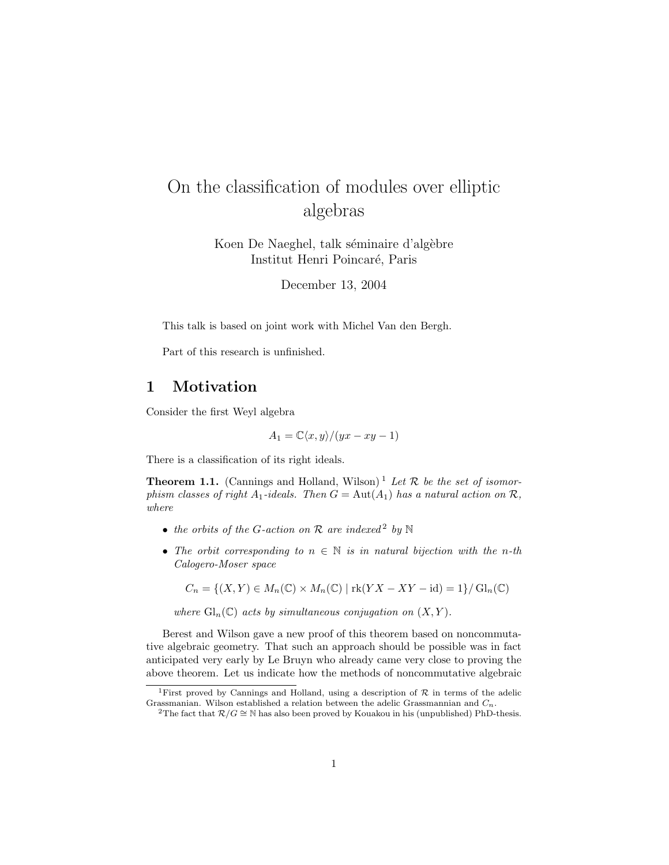# On the classification of modules over elliptic algebras

Koen De Naeghel, talk séminaire d'algèbre Institut Henri Poincar´e, Paris

December 13, 2004

This talk is based on joint work with Michel Van den Bergh.

Part of this research is unfinished.

# 1 Motivation

Consider the first Weyl algebra

$$
A_1 = \mathbb{C}\langle x, y \rangle / (yx - xy - 1)
$$

There is a classification of its right ideals.

**Theorem 1.1.** (Cannings and Holland, Wilson)<sup>1</sup> Let  $\mathcal{R}$  be the set of isomorphism classes of right  $A_1$ -ideals. Then  $G = Aut(A_1)$  has a natural action on  $\mathcal{R}$ , where

- the orbits of the G-action on  $\mathcal R$  are indexed<sup>2</sup> by  $\mathbb N$
- The orbit corresponding to  $n \in \mathbb{N}$  is in natural bijection with the n-th Calogero-Moser space

 $C_n = \{(X, Y) \in M_n(\mathbb{C}) \times M_n(\mathbb{C}) \mid \text{rk}(YX - XY - \text{id}) = 1\} / \text{Gl}_n(\mathbb{C})$ 

where  $\mathrm{Gl}_n(\mathbb{C})$  acts by simultaneous conjugation on  $(X, Y)$ .

Berest and Wilson gave a new proof of this theorem based on noncommutative algebraic geometry. That such an approach should be possible was in fact anticipated very early by Le Bruyn who already came very close to proving the above theorem. Let us indicate how the methods of noncommutative algebraic

<sup>&</sup>lt;sup>1</sup>First proved by Cannings and Holland, using a description of  $R$  in terms of the adelic Grassmanian. Wilson established a relation between the adelic Grassmannian and  $C_n$ .

<sup>&</sup>lt;sup>2</sup>The fact that  $\mathcal{R}/G \cong \mathbb{N}$  has also been proved by Kouakou in his (unpublished) PhD-thesis.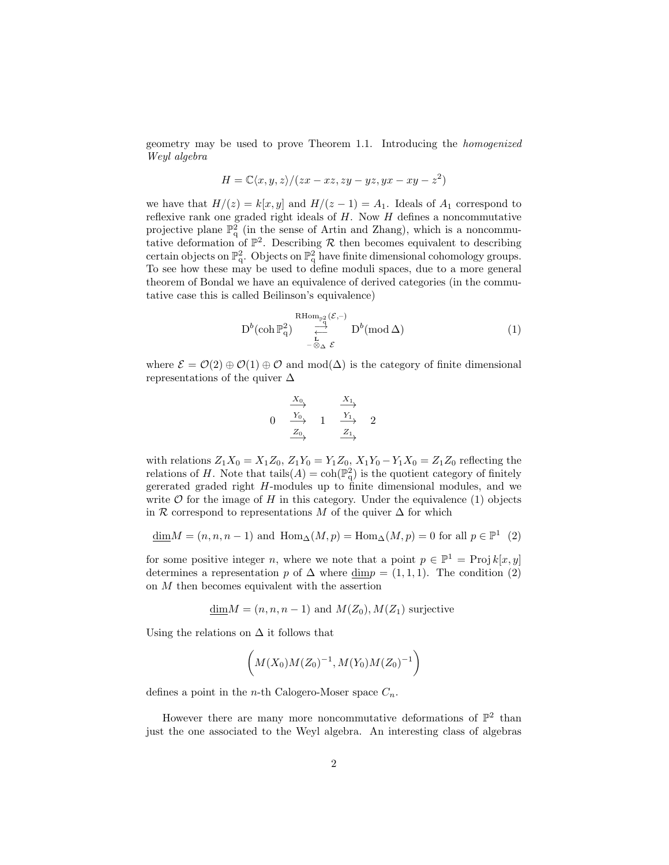geometry may be used to prove Theorem 1.1. Introducing the homogenized Weyl algebra

$$
H = \mathbb{C}\langle x, y, z \rangle / (zx - xz, zy - yz, yx - xy - z^2)
$$

we have that  $H/(z) = k[x, y]$  and  $H/(z - 1) = A_1$ . Ideals of  $A_1$  correspond to reflexive rank one graded right ideals of  $H$ . Now  $H$  defines a noncommutative projective plane  $\mathbb{P}^2$  (in the sense of Artin and Zhang), which is a noncommutative deformation of  $\mathbb{P}^2$ . Describing R then becomes equivalent to describing certain objects on  $\mathbb{P}^2_q$ . Objects on  $\mathbb{P}^2_q$  have finite dimensional cohomology groups. To see how these may be used to define moduli spaces, due to a more general theorem of Bondal we have an equivalence of derived categories (in the commutative case this is called Beilinson's equivalence)

$$
D^{b}(\operatorname{coh} \mathbb{P}_{q}^{2}) \underset{\substack{\leftarrow \\ -\otimes_{\Delta} \varepsilon}}{\overset{\operatorname{RHom}_{\mathbb{P}_{q}^{2}}}{\longrightarrow}} D^{b}(\operatorname{mod} \Delta)
$$
 (1)

where  $\mathcal{E} = \mathcal{O}(2) \oplus \mathcal{O}(1) \oplus \mathcal{O}$  and mod( $\Delta$ ) is the category of finite dimensional representations of the quiver  $\Delta$ 

$$
\begin{array}{ccc}\n & \xrightarrow{X_0} & \xrightarrow{X_1} \\
0 & \xrightarrow{Y_0} & 1 & \xrightarrow{Y_1} & 2 \\
& \xrightarrow{Z_0} & & \xrightarrow{Z_1}\n\end{array}
$$

with relations  $Z_1X_0 = X_1Z_0$ ,  $Z_1Y_0 = Y_1Z_0$ ,  $X_1Y_0 - Y_1X_0 = Z_1Z_0$  reflecting the relations of H. Note that tails $(A) = \text{coh}(\mathbb{P}_q^2)$  is the quotient category of finitely gererated graded right H-modules up to finite dimensional modules, and we write  $\mathcal O$  for the image of H in this category. Under the equivalence (1) objects in R correspond to representations M of the quiver  $\Delta$  for which

$$
\underline{\dim} M = (n, n, n-1) \text{ and } \operatorname{Hom}_{\Delta}(M, p) = \operatorname{Hom}_{\Delta}(M, p) = 0 \text{ for all } p \in \mathbb{P}^1 \tag{2}
$$

for some positive integer *n*, where we note that a point  $p \in \mathbb{P}^1 = \text{Proj } k[x, y]$ determines a representation p of  $\Delta$  where dimp = (1, 1, 1). The condition (2) on  $M$  then becomes equivalent with the assertion

$$
\underline{\dim} M = (n, n, n-1)
$$
 and  $M(Z_0), M(Z_1)$  surjective

Using the relations on  $\Delta$  it follows that

$$
\bigg(M(X_0)M(Z_0)^{-1}, M(Y_0)M(Z_0)^{-1}\bigg)
$$

defines a point in the *n*-th Calogero-Moser space  $C_n$ .

However there are many more noncommutative deformations of  $\mathbb{P}^2$  than just the one associated to the Weyl algebra. An interesting class of algebras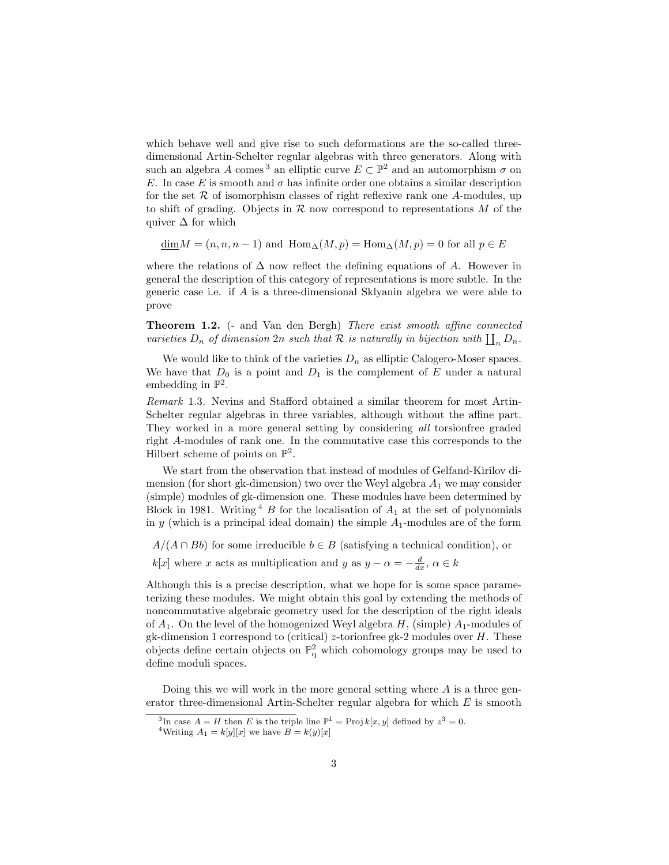which behave well and give rise to such deformations are the so-called threedimensional Artin-Schelter regular algebras with three generators. Along with such an algebra A comes<sup>3</sup> an elliptic curve  $E \subset \mathbb{P}^2$  and an automorphism  $\sigma$  on E. In case E is smooth and  $\sigma$  has infinite order one obtains a similar description for the set  $R$  of isomorphism classes of right reflexive rank one A-modules, up to shift of grading. Objects in  $R$  now correspond to representations  $M$  of the quiver  $\Delta$  for which

 $\dim M = (n, n, n-1)$  and  $\operatorname{Hom}_{\Delta}(M, p) = \operatorname{Hom}_{\Delta}(M, p) = 0$  for all  $p \in E$ 

where the relations of  $\Delta$  now reflect the defining equations of A. However in general the description of this category of representations is more subtle. In the generic case i.e. if A is a three-dimensional Sklyanin algebra we were able to prove

**Theorem 1.2.** (- and Van den Bergh) There exist smooth affine connected varieties  $D_n$  of dimension  $2n$  such that  $\mathcal R$  is naturally in bijection with  $\prod_n D_n$ .

We would like to think of the varieties  $D_n$  as elliptic Calogero-Moser spaces. We have that  $D_0$  is a point and  $D_1$  is the complement of E under a natural embedding in  $\mathbb{P}^2$ .

Remark 1.3. Nevins and Stafford obtained a similar theorem for most Artin-Schelter regular algebras in three variables, although without the affine part. They worked in a more general setting by considering all torsionfree graded right A-modules of rank one. In the commutative case this corresponds to the Hilbert scheme of points on  $\mathbb{P}^2$ .

We start from the observation that instead of modules of Gelfand-Kirilov dimension (for short gk-dimension) two over the Weyl algebra  $A_1$  we may consider (simple) modules of gk-dimension one. These modules have been determined by Block in 1981. Writing  $4 \cdot B$  for the localisation of  $A_1$  at the set of polynomials in  $y$  (which is a principal ideal domain) the simple  $A_1$ -modules are of the form

 $A/(A \cap Bb)$  for some irreducible  $b \in B$  (satisfying a technical condition), or

 $k[x]$  where x acts as multiplication and y as  $y - \alpha = -\frac{d}{dx}$ ,  $\alpha \in k$ 

Although this is a precise description, what we hope for is some space parameterizing these modules. We might obtain this goal by extending the methods of noncommutative algebraic geometry used for the description of the right ideals of  $A_1$ . On the level of the homogenized Weyl algebra  $H$ , (simple)  $A_1$ -modules of gk-dimension 1 correspond to (critical) z-torionfree gk-2 modules over  $H$ . These objects define certain objects on  $\mathbb{P}^2_q$  which cohomology groups may be used to define moduli spaces.

Doing this we will work in the more general setting where  $A$  is a three generator three-dimensional Artin-Schelter regular algebra for which  $E$  is smooth

<sup>&</sup>lt;sup>3</sup>In case  $A = H$  then E is the triple line  $\mathbb{P}^1 = \text{Proj } k[x, y]$  defined by  $z^3 = 0$ .

<sup>&</sup>lt;sup>4</sup>Writing  $A_1 = k[y][x]$  we have  $B = k(y)[x]$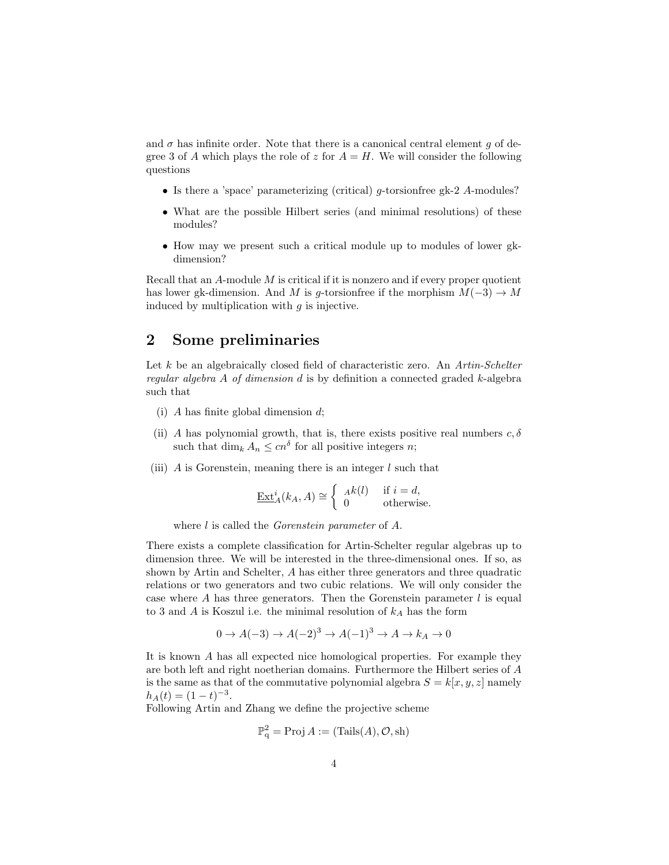and  $\sigma$  has infinite order. Note that there is a canonical central element g of degree 3 of A which plays the role of z for  $A = H$ . We will consider the following questions

- Is there a 'space' parameterizing (critical)  $q$ -torsionfree gk-2 A-modules?
- What are the possible Hilbert series (and minimal resolutions) of these modules?
- How may we present such a critical module up to modules of lower gkdimension?

Recall that an  $A$ -module  $M$  is critical if it is nonzero and if every proper quotient has lower gk-dimension. And M is g-torsion free if the morphism  $M(-3) \rightarrow M$ induced by multiplication with  $g$  is injective.

## 2 Some preliminaries

Let  $k$  be an algebraically closed field of characteristic zero. An Artin-Schelter regular algebra  $A$  of dimension  $d$  is by definition a connected graded  $k$ -algebra such that

- (i) A has finite global dimension  $d$ ;
- (ii) A has polynomial growth, that is, there exists positive real numbers  $c, \delta$ such that  $\dim_k A_n \leq c n^{\delta}$  for all positive integers *n*;
- (iii)  $\tilde{A}$  is Gorenstein, meaning there is an integer  $\tilde{l}$  such that

$$
\underline{\operatorname{Ext}}_A^i(k_A, A) \cong \begin{cases} A^k(l) & \text{if } i = d, \\ 0 & \text{otherwise.} \end{cases}
$$

where *l* is called the *Gorenstein parameter* of *A*.

There exists a complete classification for Artin-Schelter regular algebras up to dimension three. We will be interested in the three-dimensional ones. If so, as shown by Artin and Schelter, A has either three generators and three quadratic relations or two generators and two cubic relations. We will only consider the case where A has three generators. Then the Gorenstein parameter  $l$  is equal to 3 and  $A$  is Koszul i.e. the minimal resolution of  $k_A$  has the form

$$
0 \to A(-3) \to A(-2)^3 \to A(-1)^3 \to A \to k_A \to 0
$$

It is known A has all expected nice homological properties. For example they are both left and right noetherian domains. Furthermore the Hilbert series of A is the same as that of the commutative polynomial algebra  $S = k[x, y, z]$  namely  $h_A(t) = (1-t)^{-3}.$ 

Following Artin and Zhang we define the projective scheme

$$
\mathbb{P}_{q}^{2} = \text{Proj } A := (\text{Tails}(A), \mathcal{O}, \text{sh})
$$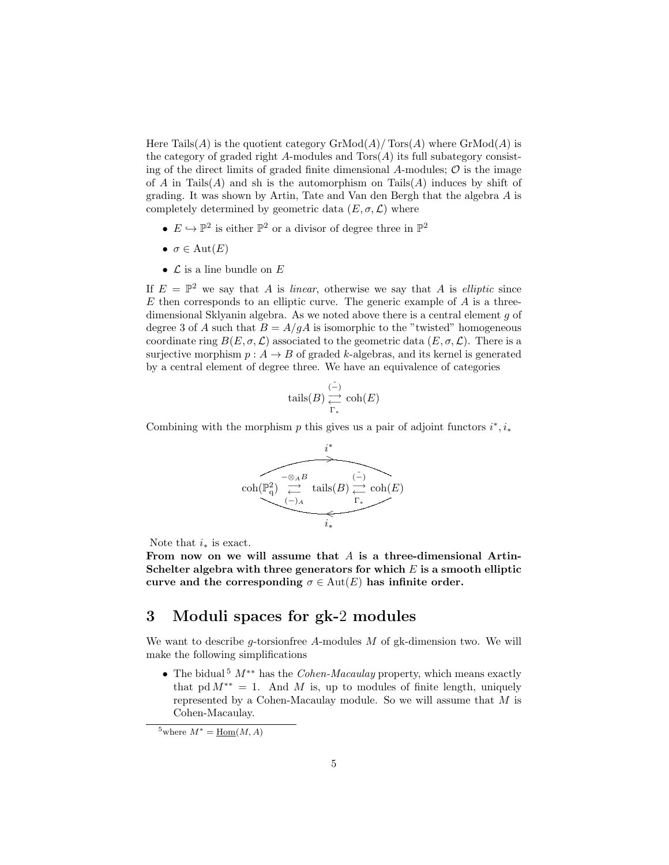Here Tails(A) is the quotient category  $\mathrm{GrMod}(A)/\mathrm{Tors}(A)$  where  $\mathrm{GrMod}(A)$  is the category of graded right  $A$ -modules and  $Tors(A)$  its full subategory consisting of the direct limits of graded finite dimensional A-modules;  $\mathcal O$  is the image of A in Tails(A) and sh is the automorphism on Tails(A) induces by shift of grading. It was shown by Artin, Tate and Van den Bergh that the algebra A is completely determined by geometric data  $(E, \sigma, \mathcal{L})$  where

- $E \hookrightarrow \mathbb{P}^2$  is either  $\mathbb{P}^2$  or a divisor of degree three in  $\mathbb{P}^2$
- $\sigma \in \text{Aut}(E)$
- $\bullet\hskip2pt$   ${\mathcal L}$  is a line bundle on  $E$

If  $E = \mathbb{P}^2$  we say that A is linear, otherwise we say that A is elliptic since  $E$  then corresponds to an elliptic curve. The generic example of  $A$  is a threedimensional Sklyanin algebra. As we noted above there is a central element g of degree 3 of A such that  $B = A/gA$  is isomorphic to the "twisted" homogeneous coordinate ring  $B(E, \sigma, \mathcal{L})$  associated to the geometric data  $(E, \sigma, \mathcal{L})$ . There is a surjective morphism  $p : A \to B$  of graded k-algebras, and its kernel is generated by a central element of degree three. We have an equivalence of categories

$$
\mathrm{tails}(B) \overset{\tilde{(-)}}{\underset{\Gamma_*}{\longleftarrow}} \mathrm{coh}(E)
$$

Combining with the morphism p this gives us a pair of adjoint functors  $i^*, i_*$ 



Note that  $i_*$  is exact.

From now on we will assume that  $A$  is a three-dimensional Artin-Schelter algebra with three generators for which  $E$  is a smooth elliptic curve and the corresponding  $\sigma \in \text{Aut}(E)$  has infinite order.

## 3 Moduli spaces for gk-2 modules

We want to describe g-torsion free  $A$ -modules  $M$  of gk-dimension two. We will make the following simplifications

• The bidual<sup>5</sup>  $M^{**}$  has the *Cohen-Macaulay* property, which means exactly that pd  $M^{**} = 1$ . And M is, up to modules of finite length, uniquely represented by a Cohen-Macaulay module. So we will assume that M is Cohen-Macaulay.

<sup>&</sup>lt;sup>5</sup>where  $M^* = \underline{Hom}(M, A)$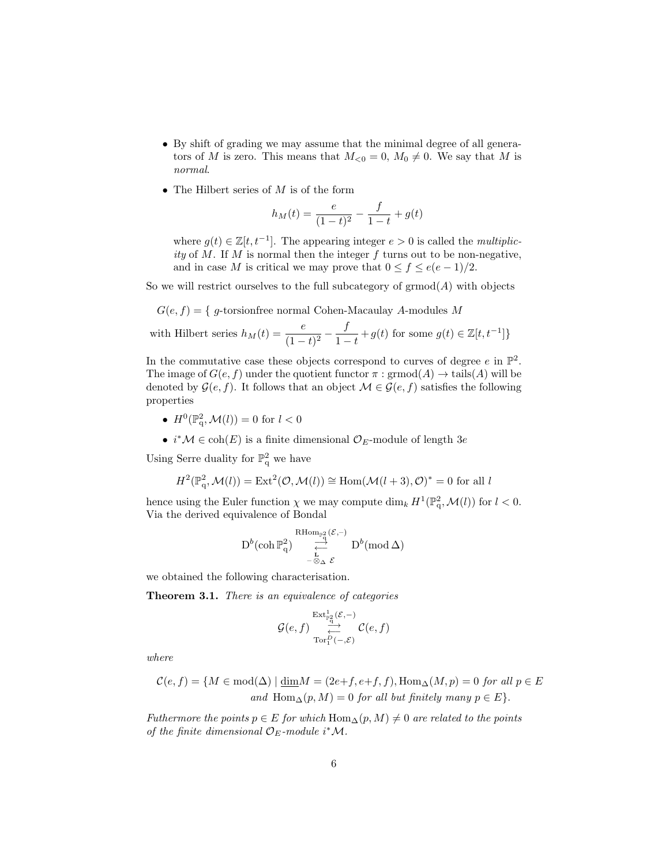- By shift of grading we may assume that the minimal degree of all generators of M is zero. This means that  $M_{\leq 0} = 0$ ,  $M_0 \neq 0$ . We say that M is normal.
- The Hilbert series of  $M$  is of the form

$$
h_M(t) = \frac{e}{(1-t)^2} - \frac{f}{1-t} + g(t)
$$

where  $g(t) \in \mathbb{Z}[t, t^{-1}]$ . The appearing integer  $e > 0$  is called the *multiplic*ity of  $M$ . If  $M$  is normal then the integer  $f$  turns out to be non-negative, and in case M is critical we may prove that  $0 \le f \le e(e-1)/2$ .

So we will restrict ourselves to the full subcategory of  $\mathrm{grmod}(A)$  with objects

$$
G(e, f) = \{g\text{-torsionfree normal Cohen-Macaulay } A\text{-modules } M\}
$$

with Hilbert series 
$$
h_M(t) = \frac{e}{(1-t)^2} - \frac{f}{1-t} + g(t)
$$
 for some  $g(t) \in \mathbb{Z}[t, t^{-1}]\}$ 

In the commutative case these objects correspond to curves of degree  $e$  in  $\mathbb{P}^2$ . The image of  $G(e, f)$  under the quotient functor  $\pi : \mathrm{grmod}(A) \to \mathrm{tails}(A)$  will be denoted by  $\mathcal{G}(e, f)$ . It follows that an object  $\mathcal{M} \in \mathcal{G}(e, f)$  satisfies the following properties

- $H^0(\mathbb{P}_q^2, \mathcal{M}(l)) = 0$  for  $l < 0$
- $i^*{\cal M} \in \text{coh}(E)$  is a finite dimensional  ${\cal O}_E$ -module of length  $3e$

Using Serre duality for  $\mathbb{P}^2_q$  we have

$$
H^2(\mathbb{P}^2_q,\mathcal{M}(l))=\operatorname{Ext}^2(\mathcal{O},\mathcal{M}(l))\cong \operatorname{Hom}(\mathcal{M}(l+3),\mathcal{O})^*=0\text{ for all }l
$$

hence using the Euler function  $\chi$  we may compute  $\dim_k H^1(\mathbb{P}^2_q, \mathcal{M}(l))$  for  $l < 0$ . Via the derived equivalence of Bondal

$$
\operatorname{D}^b(\operatorname{coh} \mathbb{P}^2_q) \ \underset{-\frac{\lambda}{\diamondsuit} \Delta}{\overset{\operatorname{RHom}_{\mathbb{P}^2_q}(\mathcal{E},-)}{\underset{-\frac{\lambda}{\diamondsuit} \Delta}{\longleftarrow}}}\ \operatorname{D}^b(\operatorname{mod} \Delta)
$$

we obtained the following characterisation.

Theorem 3.1. There is an equivalence of categories

$$
\mathcal{G}(e,f) \underset{\operatorname{Tor}_1^D(-,\mathcal{E})}{\overset{\operatorname{Ext}\nolimits_{\mathbb{F}_q^2}^1(\mathcal{E},-)}{\underset{\longleftarrow}{\longleftarrow}}}\mathcal{C}(e,f)
$$

where

$$
\mathcal{C}(e,f) = \{ M \in \text{mod}(\Delta) \mid \underline{\dim} M = (2e+f,e+f,f), \text{Hom}_{\Delta}(M,p) = 0 \text{ for all } p \in E
$$
  
and 
$$
\text{Hom}_{\Delta}(p,M) = 0 \text{ for all but finitely many } p \in E \}.
$$

Futhermore the points  $p \in E$  for which  $\text{Hom}_{\Delta}(p, M) \neq 0$  are related to the points of the finite dimensional  $\mathcal{O}_E$ -module i\*M.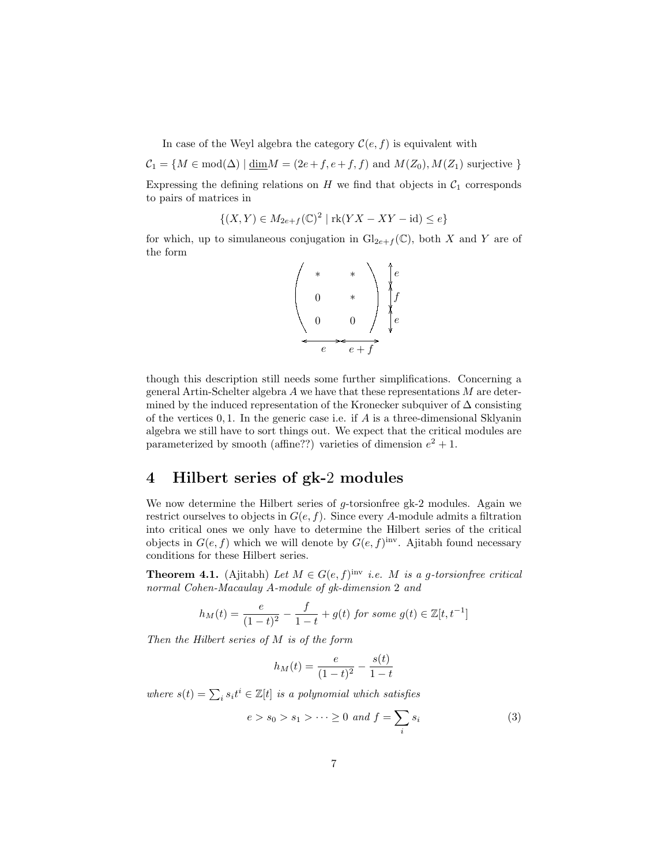In case of the Weyl algebra the category  $\mathcal{C}(e, f)$  is equivalent with

 $C_1 = \{M \in \text{mod}(\Delta) \mid \underline{\text{dim}}M = (2e+f, e+f, f) \text{ and } M(Z_0), M(Z_1) \text{ surjective }\}$ 

Expressing the defining relations on  $H$  we find that objects in  $C_1$  corresponds to pairs of matrices in

$$
\{(X,Y)\in M_{2e+f}(\mathbb{C})^2 \mid \text{rk}(YX-XY-\text{id})\leq e\}
$$

for which, up to simulaneous conjugation in  $\mathrm{Gl}_{2e+f}(\mathbb{C})$ , both X and Y are of the form

$$
\begin{pmatrix} * & * \\ 0 & * \\ 0 & 0 \end{pmatrix} \begin{pmatrix} e \\ f \\ f \\ e \end{pmatrix}
$$

though this description still needs some further simplifications. Concerning a general Artin-Schelter algebra  $A$  we have that these representations  $M$  are determined by the induced representation of the Kronecker subquiver of  $\Delta$  consisting of the vertices  $0, 1$ . In the generic case i.e. if A is a three-dimensional Sklyanin algebra we still have to sort things out. We expect that the critical modules are parameterized by smooth (affine??) varieties of dimension  $e^2 + 1$ .

#### 4 Hilbert series of gk-2 modules

We now determine the Hilbert series of  $g$ -torsionfree gk-2 modules. Again we restrict ourselves to objects in  $G(e, f)$ . Since every A-module admits a filtration into critical ones we only have to determine the Hilbert series of the critical objects in  $G(e, f)$  which we will denote by  $G(e, f)$ <sup>inv</sup>. Ajitabh found necessary conditions for these Hilbert series.

**Theorem 4.1.** (Ajitabh) Let  $M \in G(e, f)$ <sup>inv</sup> i.e. M is a g-torsionfree critical normal Cohen-Macaulay A-module of gk-dimension 2 and

$$
h_M(t) = \frac{e}{(1-t)^2} - \frac{f}{1-t} + g(t) \text{ for some } g(t) \in \mathbb{Z}[t, t^{-1}]
$$

Then the Hilbert series of M is of the form

$$
h_M(t) = \frac{e}{(1-t)^2} - \frac{s(t)}{1-t}
$$

where  $s(t) = \sum_i s_i t^i \in \mathbb{Z}[t]$  is a polynomial which satisfies

$$
e > s_0 > s_1 > \dots \ge 0 \text{ and } f = \sum_i s_i \tag{3}
$$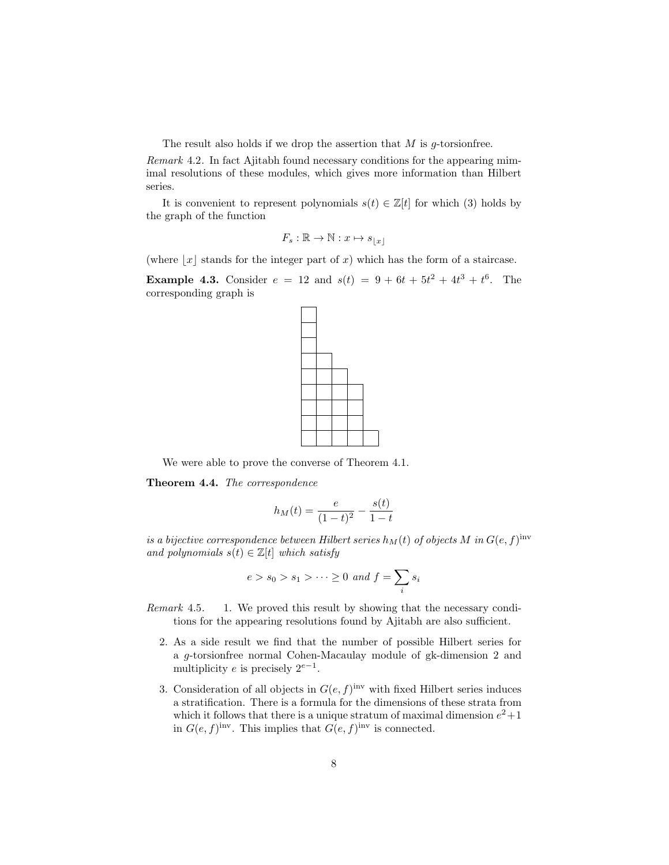The result also holds if we drop the assertion that  $M$  is g-torsion free.

Remark 4.2. In fact Ajitabh found necessary conditions for the appearing mimimal resolutions of these modules, which gives more information than Hilbert series.

It is convenient to represent polynomials  $s(t) \in \mathbb{Z}[t]$  for which (3) holds by the graph of the function

$$
F_s : \mathbb{R} \to \mathbb{N} : x \mapsto s_{\lfloor x \rfloor}
$$

(where  $|x|$  stands for the integer part of x) which has the form of a staircase.

**Example 4.3.** Consider  $e = 12$  and  $s(t) = 9 + 6t + 5t^2 + 4t^3 + t^6$ . The corresponding graph is



We were able to prove the converse of Theorem 4.1.

Theorem 4.4. The correspondence

$$
h_M(t) = \frac{e}{(1-t)^2} - \frac{s(t)}{1-t}
$$

is a bijective correspondence between Hilbert series  $h_M(t)$  of objects M in  $G(e, f)$ <sup>inv</sup> and polynomials  $s(t) \in \mathbb{Z}[t]$  which satisfy

$$
e > s_0 > s_1 > \dots \ge 0 \text{ and } f = \sum_i s_i
$$

Remark 4.5. 1. We proved this result by showing that the necessary conditions for the appearing resolutions found by Ajitabh are also sufficient.

- 2. As a side result we find that the number of possible Hilbert series for a g-torsionfree normal Cohen-Macaulay module of gk-dimension 2 and multiplicity e is precisely  $2^{e-1}$ .
- 3. Consideration of all objects in  $G(e, f)$ <sup>inv</sup> with fixed Hilbert series induces a stratification. There is a formula for the dimensions of these strata from which it follows that there is a unique stratum of maximal dimension  $e^2+1$ in  $G(e, f)$ <sup>inv</sup>. This implies that  $G(e, f)$ <sup>inv</sup> is connected.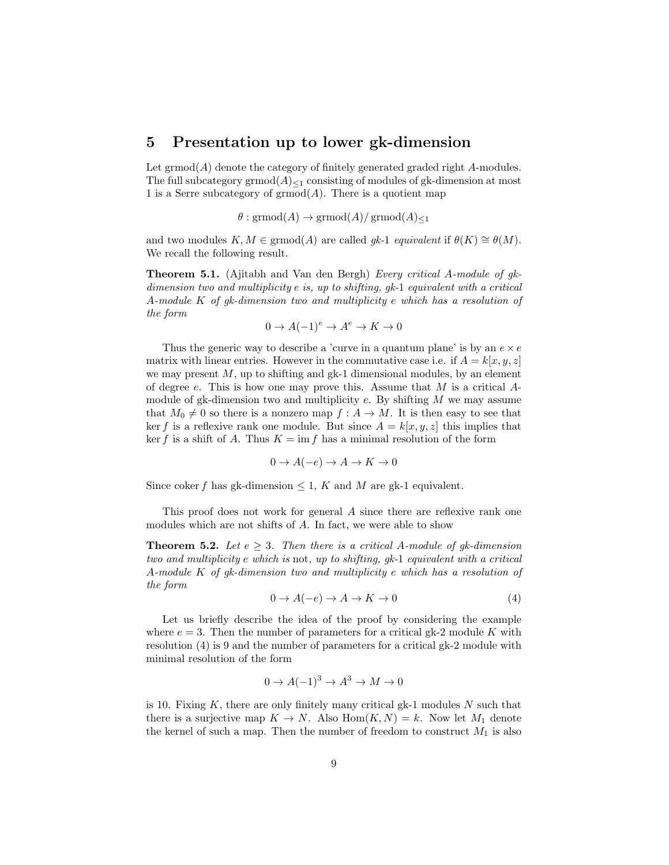#### 5 Presentation up to lower gk-dimension

Let  $\mathrm{grmod}(A)$  denote the category of finitely generated graded right A-modules. The full subcategory grmod $(A)_{\leq 1}$  consisting of modules of gk-dimension at most 1 is a Serre subcategory of  $\mathrm{grmod}(A)$ . There is a quotient map

$$
\theta : \mathrm{grmod}(A) \to \mathrm{grmod}(A)/\mathrm{grmod}(A)_{\leq 1}
$$

and two modules  $K, M \in \text{grmod}(A)$  are called gk-1 *equivalent* if  $\theta(K) \cong \theta(M)$ . We recall the following result.

Theorem 5.1. (Ajitabh and Van den Bergh) Every critical A-module of gkdimension two and multiplicity e is, up to shifting, gk-1 equivalent with a critical A-module K of gk-dimension two and multiplicity e which has a resolution of the form

$$
0 \to A(-1)^e \to A^e \to K \to 0
$$

Thus the generic way to describe a 'curve in a quantum plane' is by an  $e \times e$ matrix with linear entries. However in the commutative case i.e. if  $A = k[x, y, z]$ we may present  $M$ , up to shifting and gk-1 dimensional modules, by an element of degree  $e$ . This is how one may prove this. Assume that  $M$  is a critical  $A$ module of gk-dimension two and multiplicity  $e$ . By shifting  $M$  we may assume that  $M_0 \neq 0$  so there is a nonzero map  $f : A \to M$ . It is then easy to see that ker f is a reflexive rank one module. But since  $A = k[x, y, z]$  this implies that ker f is a shift of A. Thus  $K = \text{im } f$  has a minimal resolution of the form

$$
0 \to A(-e) \to A \to K \to 0
$$

Since coker f has gk-dimension  $\leq 1$ , K and M are gk-1 equivalent.

This proof does not work for general A since there are reflexive rank one modules which are not shifts of A. In fact, we were able to show

**Theorem 5.2.** Let  $e \geq 3$ . Then there is a critical A-module of gk-dimension two and multiplicity e which is not, up to shifting, gk-1 equivalent with a critical A-module K of gk-dimension two and multiplicity e which has a resolution of the form

$$
0 \to A(-e) \to A \to K \to 0 \tag{4}
$$

Let us briefly describe the idea of the proof by considering the example where  $e = 3$ . Then the number of parameters for a critical gk-2 module K with resolution (4) is 9 and the number of parameters for a critical gk-2 module with minimal resolution of the form

$$
0 \to A(-1)^3 \to A^3 \to M \to 0
$$

is 10. Fixing  $K$ , there are only finitely many critical gk-1 modules  $N$  such that there is a surjective map  $K \to N$ . Also  $Hom(K, N) = k$ . Now let  $M_1$  denote the kernel of such a map. Then the number of freedom to construct  $M_1$  is also